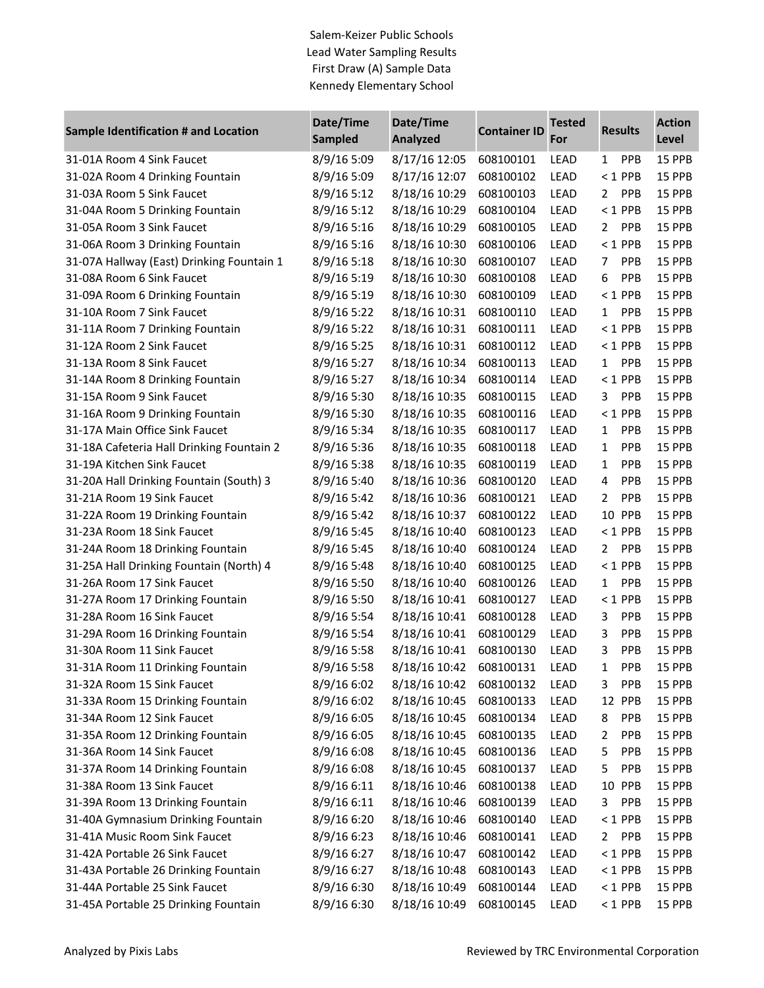Salem-Keizer Public Schools Lead Water Sampling Results First Draw (A) Sample Data Kennedy Elementary School

| Sample Identification # and Location      | Date/Time      | Date/Time       | <b>Container ID</b> | <b>Tested</b> | <b>Results</b>             | <b>Action</b> |
|-------------------------------------------|----------------|-----------------|---------------------|---------------|----------------------------|---------------|
|                                           | <b>Sampled</b> | <b>Analyzed</b> |                     | For           |                            | Level         |
| 31-01A Room 4 Sink Faucet                 | 8/9/16 5:09    | 8/17/16 12:05   | 608100101           | LEAD          | <b>PPB</b><br>1            | 15 PPB        |
| 31-02A Room 4 Drinking Fountain           | 8/9/16 5:09    | 8/17/16 12:07   | 608100102           | LEAD          | $<$ 1 PPB                  | 15 PPB        |
| 31-03A Room 5 Sink Faucet                 | 8/9/16 5:12    | 8/18/16 10:29   | 608100103           | LEAD          | <b>PPB</b><br>$\mathbf{2}$ | 15 PPB        |
| 31-04A Room 5 Drinking Fountain           | 8/9/16 5:12    | 8/18/16 10:29   | 608100104           | LEAD          | $< 1$ PPB                  | 15 PPB        |
| 31-05A Room 3 Sink Faucet                 | 8/9/16 5:16    | 8/18/16 10:29   | 608100105           | LEAD          | <b>PPB</b><br>$\mathbf{2}$ | 15 PPB        |
| 31-06A Room 3 Drinking Fountain           | 8/9/16 5:16    | 8/18/16 10:30   | 608100106           | LEAD          | $<$ 1 PPB                  | 15 PPB        |
| 31-07A Hallway (East) Drinking Fountain 1 | 8/9/16 5:18    | 8/18/16 10:30   | 608100107           | LEAD          | <b>PPB</b><br>7            | 15 PPB        |
| 31-08A Room 6 Sink Faucet                 | 8/9/16 5:19    | 8/18/16 10:30   | 608100108           | LEAD          | 6<br><b>PPB</b>            | 15 PPB        |
| 31-09A Room 6 Drinking Fountain           | 8/9/16 5:19    | 8/18/16 10:30   | 608100109           | LEAD          | $<$ 1 PPB                  | 15 PPB        |
| 31-10A Room 7 Sink Faucet                 | 8/9/16 5:22    | 8/18/16 10:31   | 608100110           | LEAD          | <b>PPB</b><br>$\mathbf{1}$ | 15 PPB        |
| 31-11A Room 7 Drinking Fountain           | 8/9/16 5:22    | 8/18/16 10:31   | 608100111           | LEAD          | $< 1$ PPB                  | 15 PPB        |
| 31-12A Room 2 Sink Faucet                 | 8/9/16 5:25    | 8/18/16 10:31   | 608100112           | LEAD          | $< 1$ PPB                  | 15 PPB        |
| 31-13A Room 8 Sink Faucet                 | 8/9/16 5:27    | 8/18/16 10:34   | 608100113           | LEAD          | <b>PPB</b><br>$\mathbf{1}$ | 15 PPB        |
| 31-14A Room 8 Drinking Fountain           | 8/9/16 5:27    | 8/18/16 10:34   | 608100114           | LEAD          | $<$ 1 PPB                  | 15 PPB        |
| 31-15A Room 9 Sink Faucet                 | 8/9/16 5:30    | 8/18/16 10:35   | 608100115           | LEAD          | <b>PPB</b><br>3            | 15 PPB        |
| 31-16A Room 9 Drinking Fountain           | 8/9/16 5:30    | 8/18/16 10:35   | 608100116           | LEAD          | $<$ 1 PPB                  | 15 PPB        |
| 31-17A Main Office Sink Faucet            | 8/9/16 5:34    | 8/18/16 10:35   | 608100117           | LEAD          | <b>PPB</b><br>$\mathbf{1}$ | 15 PPB        |
| 31-18A Cafeteria Hall Drinking Fountain 2 | 8/9/16 5:36    | 8/18/16 10:35   | 608100118           | LEAD          | <b>PPB</b><br>1            | 15 PPB        |
| 31-19A Kitchen Sink Faucet                | 8/9/16 5:38    | 8/18/16 10:35   | 608100119           | LEAD          | <b>PPB</b><br>1            | 15 PPB        |
| 31-20A Hall Drinking Fountain (South) 3   | 8/9/16 5:40    | 8/18/16 10:36   | 608100120           | LEAD          | <b>PPB</b><br>4            | 15 PPB        |
| 31-21A Room 19 Sink Faucet                | 8/9/16 5:42    | 8/18/16 10:36   | 608100121           | LEAD          | PPB<br>$\overline{2}$      | 15 PPB        |
| 31-22A Room 19 Drinking Fountain          | 8/9/16 5:42    | 8/18/16 10:37   | 608100122           | LEAD          | 10<br><b>PPB</b>           | 15 PPB        |
| 31-23A Room 18 Sink Faucet                | 8/9/16 5:45    | 8/18/16 10:40   | 608100123           | LEAD          | $<$ 1 PPB                  | 15 PPB        |
| 31-24A Room 18 Drinking Fountain          | 8/9/16 5:45    | 8/18/16 10:40   | 608100124           | LEAD          | <b>PPB</b><br>$\mathbf{2}$ | 15 PPB        |
| 31-25A Hall Drinking Fountain (North) 4   | 8/9/16 5:48    | 8/18/16 10:40   | 608100125           | LEAD          | $<$ 1 PPB                  | 15 PPB        |
| 31-26A Room 17 Sink Faucet                | 8/9/16 5:50    | 8/18/16 10:40   | 608100126           | LEAD          | <b>PPB</b><br>$\mathbf{1}$ | 15 PPB        |
| 31-27A Room 17 Drinking Fountain          | 8/9/16 5:50    | 8/18/16 10:41   | 608100127           | LEAD          | $< 1$ PPB                  | 15 PPB        |
| 31-28A Room 16 Sink Faucet                | 8/9/16 5:54    | 8/18/16 10:41   | 608100128           | LEAD          | PPB<br>3                   | 15 PPB        |
| 31-29A Room 16 Drinking Fountain          | 8/9/16 5:54    | 8/18/16 10:41   | 608100129           | LEAD          | PPB<br>3                   | 15 PPB        |
| 31-30A Room 11 Sink Faucet                | 8/9/16 5:58    | 8/18/16 10:41   | 608100130           | LEAD          | PPB<br>3                   | 15 PPB        |
| 31-31A Room 11 Drinking Fountain          | 8/9/16 5:58    | 8/18/16 10:42   | 608100131           | <b>LEAD</b>   | PPB<br>1                   | 15 PPB        |
| 31-32A Room 15 Sink Faucet                | 8/9/16 6:02    | 8/18/16 10:42   | 608100132           | LEAD          | <b>PPB</b><br>3            | 15 PPB        |
| 31-33A Room 15 Drinking Fountain          | 8/9/16 6:02    | 8/18/16 10:45   | 608100133           | <b>LEAD</b>   | 12<br><b>PPB</b>           | 15 PPB        |
| 31-34A Room 12 Sink Faucet                | 8/9/16 6:05    | 8/18/16 10:45   | 608100134           | <b>LEAD</b>   | <b>PPB</b><br>8            | <b>15 PPB</b> |
| 31-35A Room 12 Drinking Fountain          | 8/9/16 6:05    | 8/18/16 10:45   | 608100135           | <b>LEAD</b>   | <b>PPB</b><br>2            | 15 PPB        |
| 31-36A Room 14 Sink Faucet                | 8/9/16 6:08    | 8/18/16 10:45   | 608100136           | LEAD          | 5<br><b>PPB</b>            | 15 PPB        |
| 31-37A Room 14 Drinking Fountain          | 8/9/16 6:08    | 8/18/16 10:45   | 608100137           | <b>LEAD</b>   | 5<br><b>PPB</b>            | 15 PPB        |
| 31-38A Room 13 Sink Faucet                | 8/9/16 6:11    | 8/18/16 10:46   | 608100138           | <b>LEAD</b>   | 10 PPB                     | 15 PPB        |
| 31-39A Room 13 Drinking Fountain          | 8/9/16 6:11    | 8/18/16 10:46   | 608100139           | <b>LEAD</b>   | 3<br><b>PPB</b>            | 15 PPB        |
| 31-40A Gymnasium Drinking Fountain        | 8/9/16 6:20    | 8/18/16 10:46   | 608100140           | LEAD          | $<$ 1 PPB                  | 15 PPB        |
| 31-41A Music Room Sink Faucet             | 8/9/16 6:23    | 8/18/16 10:46   | 608100141           | <b>LEAD</b>   | <b>PPB</b><br>2            | 15 PPB        |
| 31-42A Portable 26 Sink Faucet            | 8/9/16 6:27    | 8/18/16 10:47   | 608100142           | <b>LEAD</b>   | $< 1$ PPB                  | 15 PPB        |
| 31-43A Portable 26 Drinking Fountain      | 8/9/16 6:27    | 8/18/16 10:48   | 608100143           | LEAD          | $<$ 1 PPB                  | 15 PPB        |
| 31-44A Portable 25 Sink Faucet            | 8/9/16 6:30    | 8/18/16 10:49   | 608100144           | LEAD          | $< 1$ PPB                  | 15 PPB        |
| 31-45A Portable 25 Drinking Fountain      | 8/9/16 6:30    | 8/18/16 10:49   | 608100145           | LEAD          | $< 1$ PPB                  | 15 PPB        |